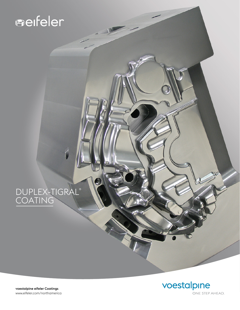# seifeler

# DUPLEX-TIGRAL®



voestalpine eifeler Coatings www.eifeler.com/northamerica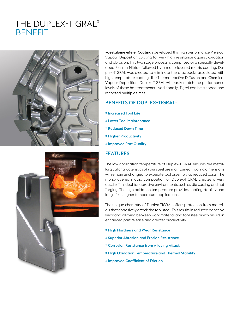# THE DUPLEX-TIGRAL® BENEFIT





voestalpine eifeler Coatings developed this high performance Physical Vapour Deposition coating for very high resistance against oxidation and abrasion. This two stage process is comprised of a specially developed Plasma Nitride followed by a mono-layered matrix coating. Duplex-TIGRAL was created to eliminate the drawbacks associated with high temperature coatings like Thermoreactive Diffusion and Chemical Vapour Deposition. Duplex-TIGRAL will easily match the performance levels of these hot treatments. Additionally, Tigral can be stripped and recoated multiple times.

# BENEFITS OF DUPLEX-TIGRAL:

- » Increased Tool Life » Lower Tool Maintenance » Reduced Down Time
- » Higher Productivity
- » Improved Part Quality

# **FEATURES**

The low application temperature of Duplex-TIGRAL ensures the metallurgical characteristics of your steel are maintained. Tooling dimensions will remain unchanged to expedite tool assembly at reduced costs. The mono-layered matrix composition of Duplex-TIGRAL creates a very ductile film ideal for abrasive environments such as die casting and hot forging. The high oxidation temperature provides coating stability and long life in higher temperature applications.

The unique chemistry of Duplex-TIGRAL offers protection from materials that corrosively attack the tool steel. This results in reduced adhesive wear and alloying between work material and tool steel which results in enhanced part release and greater productivity.

- » High Hardness and Wear Resistance
- » Superior Abrasion and Erosion Resistance
- » Corrosion Resistance from Alloying Attack
- » High Oxidation Temperature and Thermal Stability
- » Improved Coefficient of Friction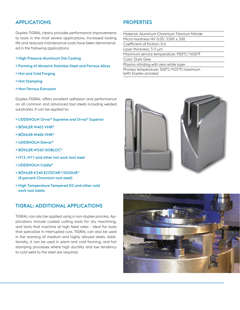# APPLICATIONS

Duplex-TIGRAL clearly provides performance improvements to tools in the most severe applications. Increased tooling life and reduced maintenance costs have been demonstrated in the following applications:

- » High Pressure Aluminum Die Casting
- » Forming of Abrasive Stainless Steel and Ferrous Alloys
- » Hot and Cold Forging
- » Hot Stamping
- » Non Ferrous Extrusion

Duplex-TIGRAL offers excellent adhesion and performance on all common and advanced tool steels including welded substrates. It can be applied to:

- » UDDEHOLM Orvar® Supreme and Orvar® Superior
- » BÖHLER W403 VMR®
- » BÖHLER W400 VMR®
- » UDDEHOLM Dievar®
- » BÖHLER W360 ISOBLOC®
- » H13, H11 and other hot work tool steel
- » UDDEHOLM Caldie®
- » BÖHLER K340 ECOSTAR®/ISODUR® (8 percent Chromium tool steel)
- » High Temperature Tempered D2 and other cold work tool steels

## TIGRAL: ADDITIONAL APPLICATIONS

TIGRAL can also be applied using a non-duplex process. Applications include coated cutting tools for dry machining, and tools that machine at high feed rates - ideal for tools that specialize in interrupted cuts. TIGRAL can also be used in the reaming of medium and highly alloyed steels. Additionally, it can be used in warm and cold forming, and hot stamping processes where high ductility and low tendency to cold weld to the steel are required.

# **PROPERTIES**

| Material: Aluminum Chromium Titanium Nitride                       |
|--------------------------------------------------------------------|
| Micro-hardness HV 0.05: 3300 $\pm$ 300                             |
| Coefficient of friction: 0.6                                       |
| Layer thickness: 3-5 µm                                            |
| Maximum service temperature: 900°C/1650°F                          |
| Color: Dark Grey                                                   |
| Plasma nitriding with zero white layer                             |
| Process temperature: 500°C/925°F) maximum<br>(with Duplex process) |